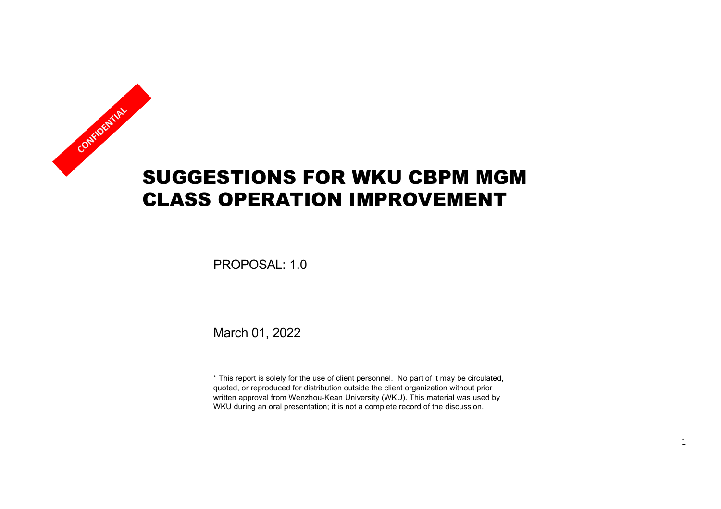# SUGGESTIONS FOR WKU CBPM MGM CLASS OPERATION IMPROVEMENT **CONFIDENTIAL**

PROPOSAL: 1.0

March 01, 2022

\* This report is solely for the use of client personnel. No part of it may be circulated, quoted, or reproduced for distribution outside the client organization without prior written approval from Wenzhou-Kean University (WKU). This material was used by WKU during an oral presentation; it is not a complete record of the discussion.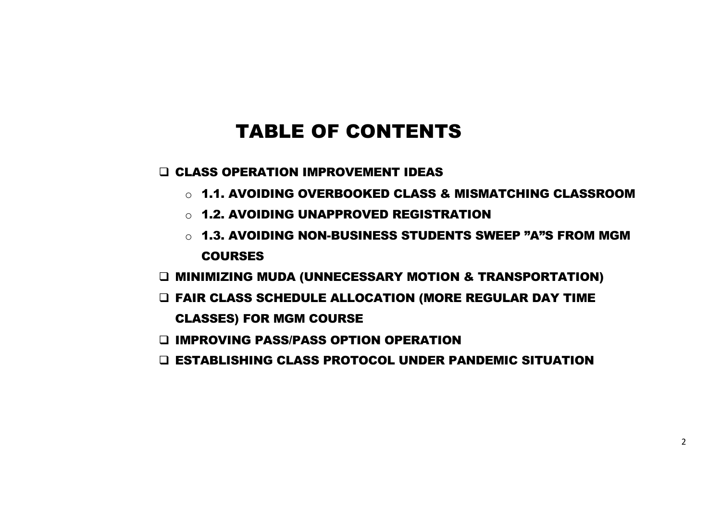### TABLE OF CONTENTS

**Q CLASS OPERATION IMPROVEMENT IDEAS** 

- o 1.1. AVOIDING OVERBOOKED CLASS & MISMATCHING CLASSROOM
- o 1.2. AVOIDING UNAPPROVED REGISTRATION
- o 1.3. AVOIDING NON-BUSINESS STUDENTS SWEEP "A"S FROM MGM COURSES
- q MINIMIZING MUDA (UNNECESSARY MOTION & TRANSPORTATION)
- q FAIR CLASS SCHEDULE ALLOCATION (MORE REGULAR DAY TIME

CLASSES) FOR MGM COURSE

- D IMPROVING PASS/PASS OPTION OPERATION
- q ESTABLISHING CLASS PROTOCOL UNDER PANDEMIC SITUATION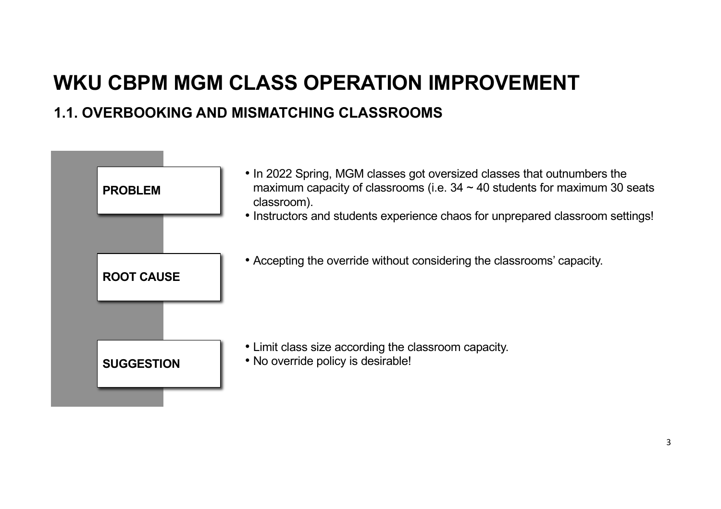#### **1.1. OVERBOOKING AND MISMATCHING CLASSROOMS**

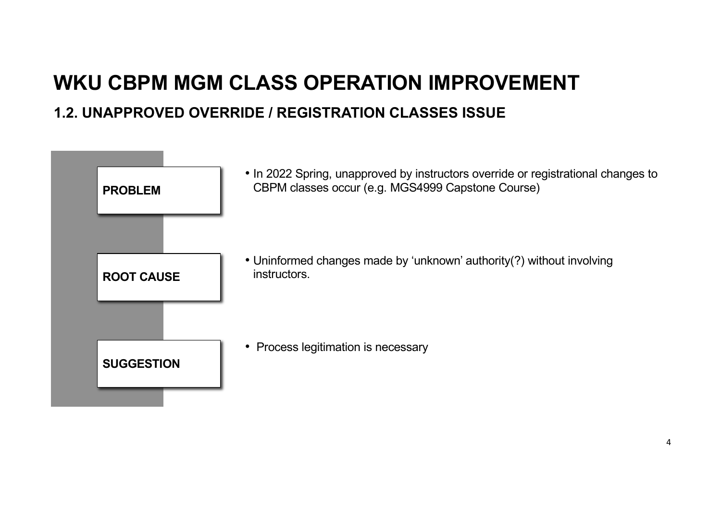#### **1.2. UNAPPROVED OVERRIDE / REGISTRATION CLASSES ISSUE**

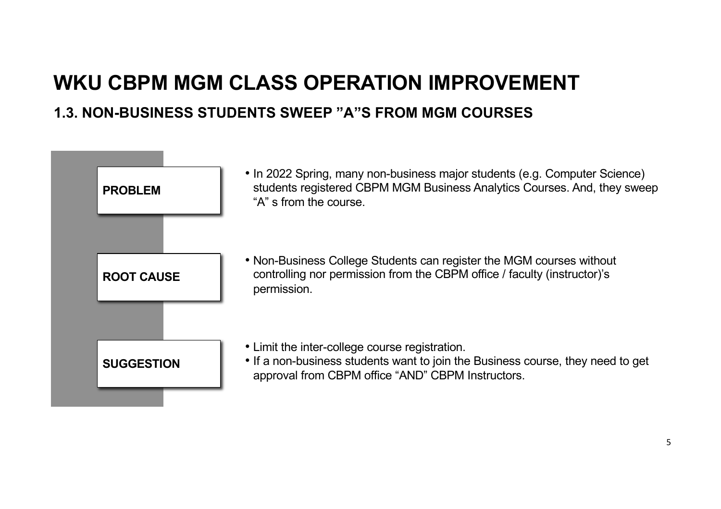## **WKU CBPM MGM CLASS OPERATION IMPROVEMENT 1.3. NON-BUSINESS STUDENTS SWEEP "A"S FROM MGM COURSES**

#### • In 2022 Spring, many non-business major students (e.g. Computer Science) students registered CBPM MGM Business Analytics Courses. And, they sweep "A" s from the course. **PROBLEM** • Non-Business College Students can register the MGM courses without controlling nor permission from the CBPM office / faculty (instructor)'s permission. **ROOT CAUSE** • Limit the inter-college course registration. • If a non-business students want to join the Business course, they need to get approval from CBPM office "AND" CBPM Instructors. **SUGGESTION**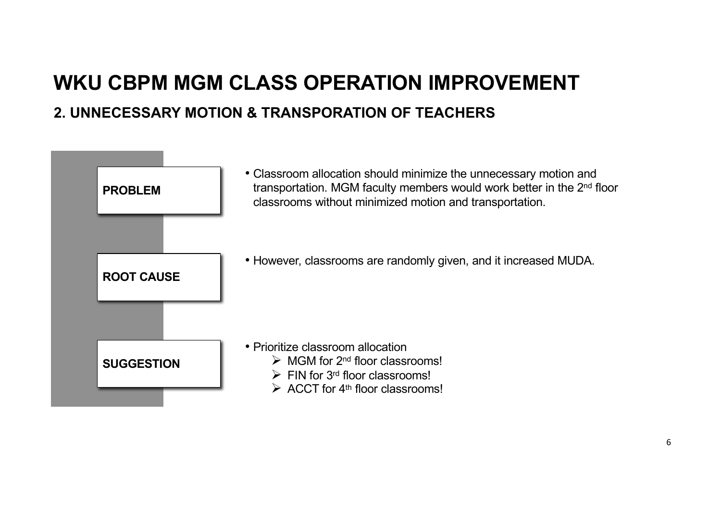## **WKU CBPM MGM CLASS OPERATION IMPROVEMENT 2. UNNECESSARY MOTION & TRANSPORATION OF TEACHERS**

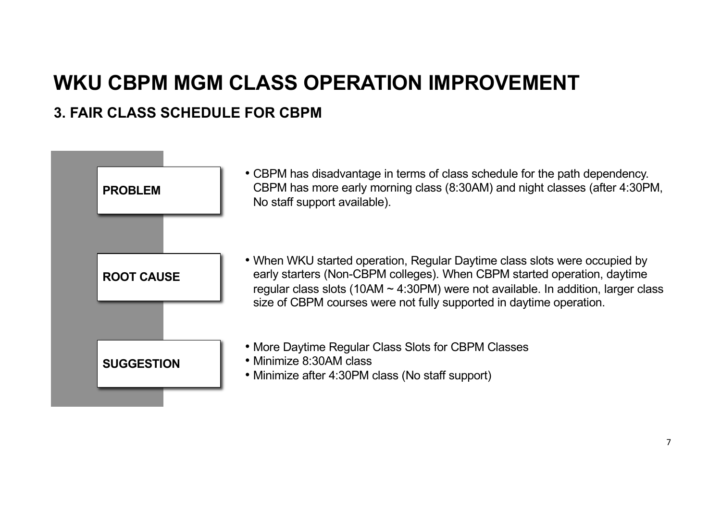#### **3. FAIR CLASS SCHEDULE FOR CBPM**

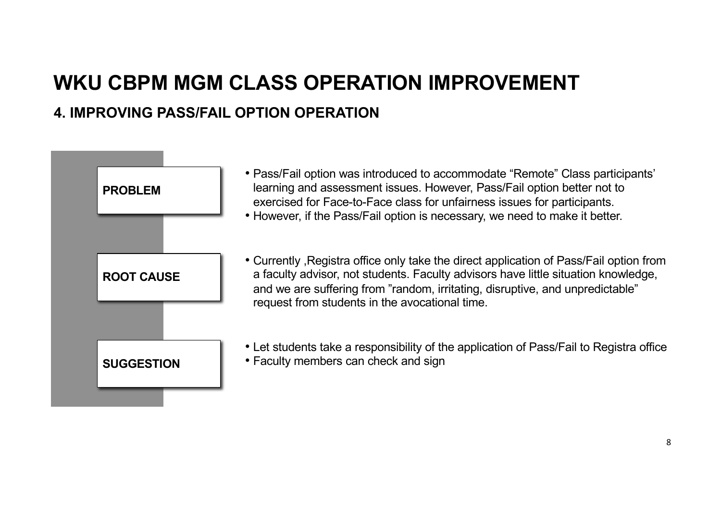#### **4. IMPROVING PASS/FAIL OPTION OPERATION**



- Pass/Fail option was introduced to accommodate "Remote" Class participants' learning and assessment issues. However, Pass/Fail option better not to exercised for Face-to-Face class for unfairness issues for participants.
- However, if the Pass/Fail option is necessary, we need to make it better.
- Currently ,Registra office only take the direct application of Pass/Fail option from a faculty advisor, not students. Faculty advisors have little situation knowledge, and we are suffering from "random, irritating, disruptive, and unpredictable" request from students in the avocational time.
- Let students take a responsibility of the application of Pass/Fail to Registra office
- **SUGGESTION** Faculty members can check and sign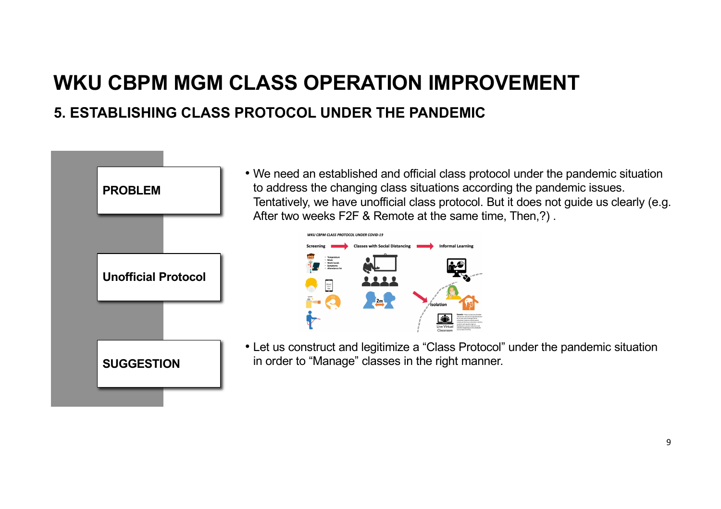#### **5. ESTABLISHING CLASS PROTOCOL UNDER THE PANDEMIC**